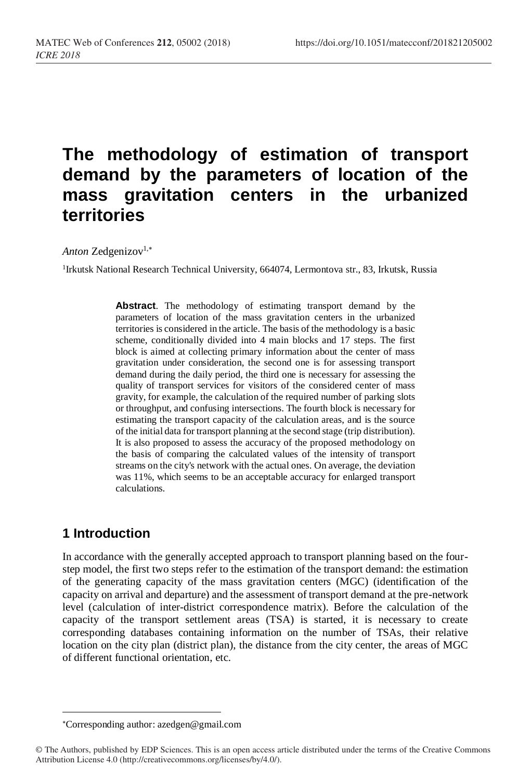# **The methodology of estimation of transport demand by the parameters of location of the mass gravitation centers in the urbanized territories**

#### Anton Zedgenizov<sup>1,\*</sup>

<sup>1</sup>Irkutsk National Research Technical University, 664074, Lermontova str., 83, Irkutsk, Russia

**Abstract**. The methodology of estimating transport demand by the parameters of location of the mass gravitation centers in the urbanized territories is considered in the article. The basis of the methodology is a basic scheme, conditionally divided into 4 main blocks and 17 steps. The first block is aimed at collecting primary information about the center of mass gravitation under consideration, the second one is for assessing transport demand during the daily period, the third one is necessary for assessing the quality of transport services for visitors of the considered center of mass gravity, for example, the calculation of the required number of parking slots or throughput, and confusing intersections. The fourth block is necessary for estimating the transport capacity of the calculation areas, and is the source of the initial data for transport planning at the second stage (trip distribution). It is also proposed to assess the accuracy of the proposed methodology on the basis of comparing the calculated values of the intensity of transport streams on the city's network with the actual ones. On average, the deviation was 11%, which seems to be an acceptable accuracy for enlarged transport calculations.

# **1 Introduction**

 $\overline{\phantom{a}}$ 

In accordance with the generally accepted approach to transport planning based on the fourstep model, the first two steps refer to the estimation of the transport demand: the estimation of the generating capacity of the mass gravitation centers (MGC) (identification of the capacity on arrival and departure) and the assessment of transport demand at the pre-network level (calculation of inter-district correspondence matrix). Before the calculation of the capacity of the transport settlement areas (TSA) is started, it is necessary to create corresponding databases containing information on the number of TSAs, their relative location on the city plan (district plan), the distance from the city center, the areas of MGC of different functional orientation, etc.

Corresponding author: azedgen@gmail.com

<sup>©</sup> The Authors, published by EDP Sciences. This is an open access article distributed under the terms of the Creative Commons Attribution License 4.0 (http://creativecommons.org/licenses/by/4.0/).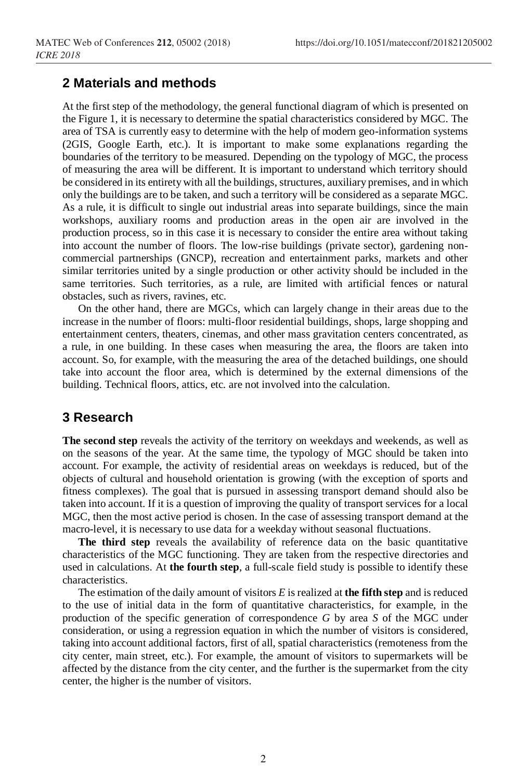### **2 Materials and methods**

At the first step of the methodology, the general functional diagram of which is presented on the Figure 1, it is necessary to determine the spatial characteristics considered by MGC. The area of TSA is currently easy to determine with the help of modern geo-information systems (2GIS, Google Earth, etc.). It is important to make some explanations regarding the boundaries of the territory to be measured. Depending on the typology of MGC, the process of measuring the area will be different. It is important to understand which territory should be considered in its entirety with all the buildings, structures, auxiliary premises, and in which only the buildings are to be taken, and such a territory will be considered as a separate MGC. As a rule, it is difficult to single out industrial areas into separate buildings, since the main workshops, auxiliary rooms and production areas in the open air are involved in the production process, so in this case it is necessary to consider the entire area without taking into account the number of floors. The low-rise buildings (private sector), gardening noncommercial partnerships (GNCP), recreation and entertainment parks, markets and other similar territories united by a single production or other activity should be included in the same territories. Such territories, as a rule, are limited with artificial fences or natural obstacles, such as rivers, ravines, etc.

On the other hand, there are MGCs, which can largely change in their areas due to the increase in the number of floors: multi-floor residential buildings, shops, large shopping and entertainment centers, theaters, cinemas, and other mass gravitation centers concentrated, as a rule, in one building. In these cases when measuring the area, the floors are taken into account. So, for example, with the measuring the area of the detached buildings, one should take into account the floor area, which is determined by the external dimensions of the building. Technical floors, attics, etc. are not involved into the calculation.

# **3 Research**

**The second step** reveals the activity of the territory on weekdays and weekends, as well as on the seasons of the year. At the same time, the typology of MGC should be taken into account. For example, the activity of residential areas on weekdays is reduced, but of the objects of cultural and household orientation is growing (with the exception of sports and fitness complexes). The goal that is pursued in assessing transport demand should also be taken into account. If it is a question of improving the quality of transport services for a local MGC, then the most active period is chosen. In the case of assessing transport demand at the macro-level, it is necessary to use data for a weekday without seasonal fluctuations.

**The third step** reveals the availability of reference data on the basic quantitative characteristics of the MGC functioning. They are taken from the respective directories and used in calculations. At **the fourth step**, a full-scale field study is possible to identify these characteristics.

The estimation of the daily amount of visitors *E* is realized at **the fifth step**and is reduced to the use of initial data in the form of quantitative characteristics, for example, in the production of the specific generation of correspondence *G* by area *S* of the MGC under consideration, or using a regression equation in which the number of visitors is considered, taking into account additional factors, first of all, spatial characteristics (remoteness from the city center, main street, etc.). For example, the amount of visitors to supermarkets will be affected by the distance from the city center, and the further is the supermarket from the city center, the higher is the number of visitors.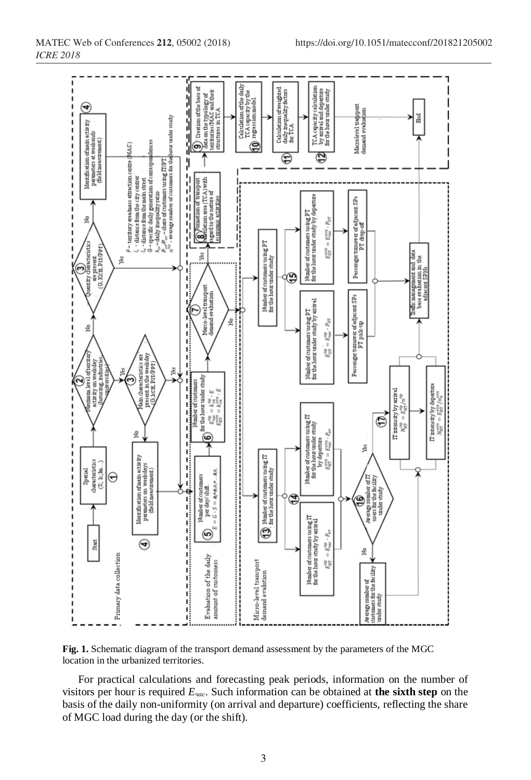

**Fig. 1.** Schematic diagram of the transport demand assessment by the parameters of the MGC location in the urbanized territories.

For practical calculations and forecasting peak periods, information on the number of visitors per hour is required *Eчас*. Such information can be obtained at **the sixth step** on the basis of the daily non-uniformity (on arrival and departure) coefficients, reflecting the share of MGC load during the day (or the shift).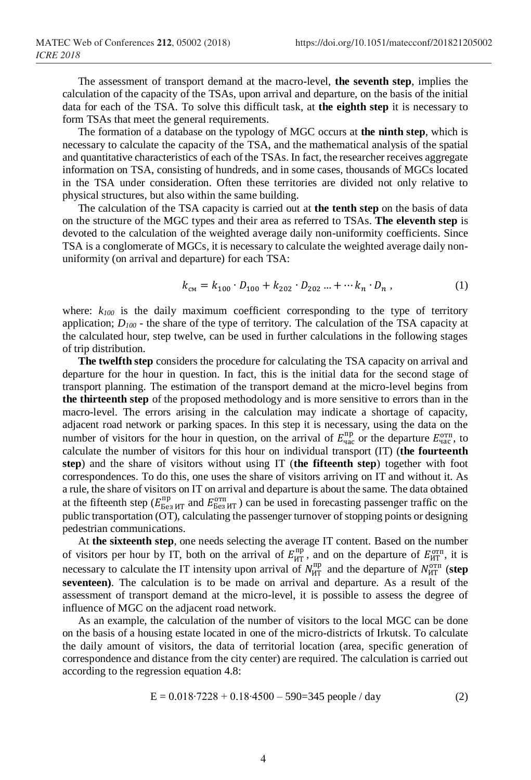The assessment of transport demand at the macro-level, **the seventh step**, implies the calculation of the capacity of the TSAs, upon arrival and departure, on the basis of the initial data for each of the TSA. To solve this difficult task, at **the eighth step** it is necessary to form TSAs that meet the general requirements.

The formation of a database on the typology of MGC occurs at **the ninth step**, which is necessary to calculate the capacity of the TSA, and the mathematical analysis of the spatial and quantitative characteristics of each of the TSAs. In fact, the researcher receives aggregate information on TSA, consisting of hundreds, and in some cases, thousands of MGCs located in the TSA under consideration. Often these territories are divided not only relative to physical structures, but also within the same building.

The calculation of the TSA capacity is carried out at **the tenth step** on the basis of data on the structure of the MGC types and their area as referred to TSAs. **The eleventh step** is devoted to the calculation of the weighted average daily non-uniformity coefficients. Since TSA is a conglomerate of MGCs, it is necessary to calculate the weighted average daily nonuniformity (on arrival and departure) for each TSA:

$$
k_{\text{cm}} = k_{100} \cdot D_{100} + k_{202} \cdot D_{202} \dots + \dots + k_n \cdot D_n , \qquad (1)
$$

where:  $k_{100}$  is the daily maximum coefficient corresponding to the type of territory application; *D<sup>100</sup>* - the share of the type of territory. The calculation of the TSA capacity at the calculated hour, step twelve, can be used in further calculations in the following stages of trip distribution.

**The twelfth step** considers the procedure for calculating the TSA capacity on arrival and departure for the hour in question. In fact, this is the initial data for the second stage of transport planning. The estimation of the transport demand at the micro-level begins from **the thirteenth step** of the proposed methodology and is more sensitive to errors than in the macro-level. The errors arising in the calculation may indicate a shortage of capacity, adjacent road network or parking spaces. In this step it is necessary, using the data on the number of visitors for the hour in question, on the arrival of  $E_{\text{vac}}^{\text{np}}$  or the departure  $E_{\text{vac}}^{\text{orth}}$ , to calculate the number of visitors for this hour on individual transport (IT) (**the fourteenth step**) and the share of visitors without using IT (**the fifteenth step**) together with foot correspondences. To do this, one uses the share of visitors arriving on IT and without it. As a rule, the share of visitors on IT on arrival and departure is about the same. The data obtained at the fifteenth step ( $E_{\text{Be}3 H}^{\text{np}}$  and  $E_{\text{Be}3 H}^{\text{orth}}$ ) can be used in forecasting passenger traffic on the public transportation (OT), calculating the passenger turnover of stopping points or designing pedestrian communications.

At **the sixteenth step**, one needs selecting the average IT content. Based on the number of visitors per hour by IT, both on the arrival of  $E_{\text{HT}}^{\text{np}}$ , and on the departure of  $E_{\text{HT}}^{\text{orth}}$ , it is necessary to calculate the IT intensity upon arrival of  $N_{\text{HT}}^{\text{np}}$  and the departure of  $N_{\text{HT}}^{\text{orn}}$  (**step seventeen)**. The calculation is to be made on arrival and departure. As a result of the assessment of transport demand at the micro-level, it is possible to assess the degree of influence of MGC on the adjacent road network.

As an example, the calculation of the number of visitors to the local MGC can be done on the basis of a housing estate located in one of the micro-districts of Irkutsk. To calculate the daily amount of visitors, the data of territorial location (area, specific generation of correspondence and distance from the city center) are required. The calculation is carried out according to the regression equation 4.8:

$$
E = 0.018 \cdot 7228 + 0.18 \cdot 4500 - 590 = 345
$$
 people / day (2)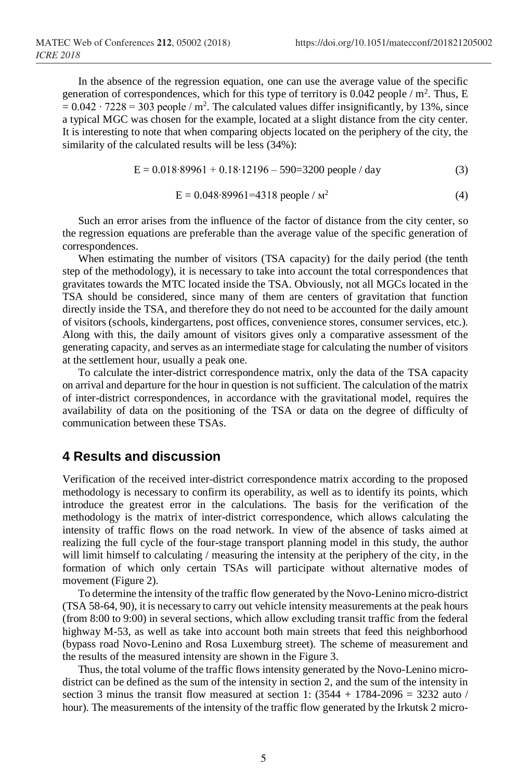In the absence of the regression equation, one can use the average value of the specific generation of correspondences, which for this type of territory is 0.042 people /  $m^2$ . Thus, E  $= 0.042 \cdot 7228 = 303$  people / m<sup>2</sup>. The calculated values differ insignificantly, by 13%, since a typical MGC was chosen for the example, located at a slight distance from the city center. It is interesting to note that when comparing objects located on the periphery of the city, the similarity of the calculated results will be less (34%):

$$
E = 0.018.89961 + 0.18.12196 - 590 = 3200
$$
 people / day (3)

$$
E = 0.048.89961 = 4318 \text{ people} / \text{m}^2 \tag{4}
$$

Such an error arises from the influence of the factor of distance from the city center, so the regression equations are preferable than the average value of the specific generation of correspondences.

When estimating the number of visitors (TSA capacity) for the daily period (the tenth step of the methodology), it is necessary to take into account the total correspondences that gravitates towards the MTC located inside the TSA. Obviously, not all MGCs located in the TSA should be considered, since many of them are centers of gravitation that function directly inside the TSA, and therefore they do not need to be accounted for the daily amount of visitors (schools, kindergartens, post offices, convenience stores, consumer services, etc.). Along with this, the daily amount of visitors gives only a comparative assessment of the generating capacity, and serves as an intermediate stage for calculating the number of visitors at the settlement hour, usually a peak one.

To calculate the inter-district correspondence matrix, only the data of the TSA capacity on arrival and departure for the hour in question is not sufficient. The calculation of the matrix of inter-district correspondences, in accordance with the gravitational model, requires the availability of data on the positioning of the TSA or data on the degree of difficulty of communication between these TSAs.

#### **4 Results and discussion**

Verification of the received inter-district correspondence matrix according to the proposed methodology is necessary to confirm its operability, as well as to identify its points, which introduce the greatest error in the calculations. The basis for the verification of the methodology is the matrix of inter-district correspondence, which allows calculating the intensity of traffic flows on the road network. In view of the absence of tasks aimed at realizing the full cycle of the four-stage transport planning model in this study, the author will limit himself to calculating / measuring the intensity at the periphery of the city, in the formation of which only certain TSAs will participate without alternative modes of movement (Figure 2).

To determine the intensity of the traffic flow generated by the Novo-Lenino micro-district (TSA 58-64, 90), it is necessary to carry out vehicle intensity measurements at the peak hours (from 8:00 to 9:00) in several sections, which allow excluding transit traffic from the federal highway M-53, as well as take into account both main streets that feed this neighborhood (bypass road Novo-Lenino and Rosa Luxemburg street). The scheme of measurement and the results of the measured intensity are shown in the Figure 3.

Thus, the total volume of the traffic flows intensity generated by the Novo-Lenino microdistrict can be defined as the sum of the intensity in section 2, and the sum of the intensity in section 3 minus the transit flow measured at section 1:  $(3544 + 1784 - 2096) = 3232$  auto / hour). The measurements of the intensity of the traffic flow generated by the Irkutsk 2 micro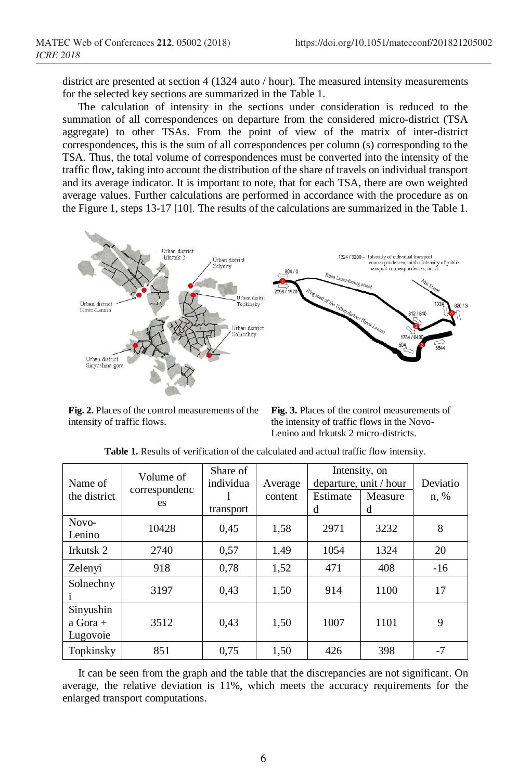district are presented at section 4 (1324 auto / hour). The measured intensity measurements for the selected key sections are summarized in the Table 1.

The calculation of intensity in the sections under consideration is reduced to the summation of all correspondences on departure from the considered micro-district (TSA aggregate) to other TSAs. From the point of view of the matrix of inter-district correspondences, this is the sum of all correspondences per column (s) corresponding to the TSA. Thus, the total volume of correspondences must be converted into the intensity of the traffic flow, taking into account the distribution of the share of travels on individual transport and its average indicator. It is important to note, that for each TSA, there are own weighted average values. Further calculations are performed in accordance with the procedure as on the Figure 1, steps 13-17 [10]. The results of the calculations are summarized in the Table 1.



**Fig. 2.** Places of the control measurements of the intensity of traffic flows.

**Fig. 3.** Places of the control measurements of the intensity of traffic flows in the Novo-Lenino and Irkutsk 2 micro-districts.

| Name of<br>the district             | Volume of<br>correspondenc<br>es | Share of<br>individua | Average<br>content | Intensity, on<br>departure, unit / hour<br>Estimate | Measure | Deviatio<br>n, % |
|-------------------------------------|----------------------------------|-----------------------|--------------------|-----------------------------------------------------|---------|------------------|
|                                     |                                  | transport             |                    | d                                                   | d       |                  |
| Novo-<br>Lenino                     | 10428                            | 0,45                  | 1,58               | 2971                                                | 3232    | 8                |
| Irkutsk <sub>2</sub>                | 2740                             | 0,57                  | 1,49               | 1054                                                | 1324    | 20               |
| Zelenyi                             | 918                              | 0,78                  | 1,52               | 471                                                 | 408     | $-16$            |
| Solnechny                           | 3197                             | 0,43                  | 1,50               | 914                                                 | 1100    | 17               |
| Sinyushin<br>a Gora $+$<br>Lugovoie | 3512                             | 0,43                  | 1,50               | 1007                                                | 1101    | 9                |
| Topkinsky                           | 851                              | 0,75                  | 1,50               | 426                                                 | 398     | $-7$             |

**Table 1.** Results of verification of the calculated and actual traffic flow intensity.

It can be seen from the graph and the table that the discrepancies are not significant. On average, the relative deviation is 11%, which meets the accuracy requirements for the enlarged transport computations.